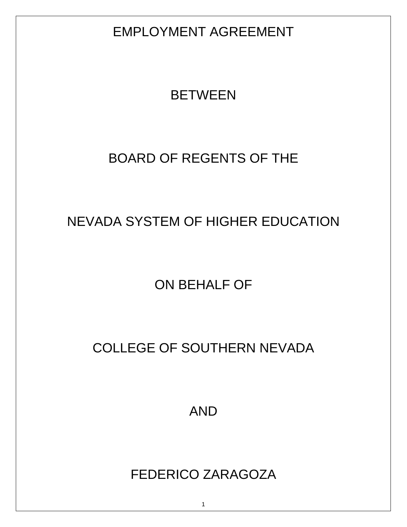EMPLOYMENT AGREEMENT

# **BETWEEN**

# BOARD OF REGENTS OF THE

# NEVADA SYSTEM OF HIGHER EDUCATION

ON BEHALF OF

# COLLEGE OF SOUTHERN NEVADA

AND

# FEDERICO ZARAGOZA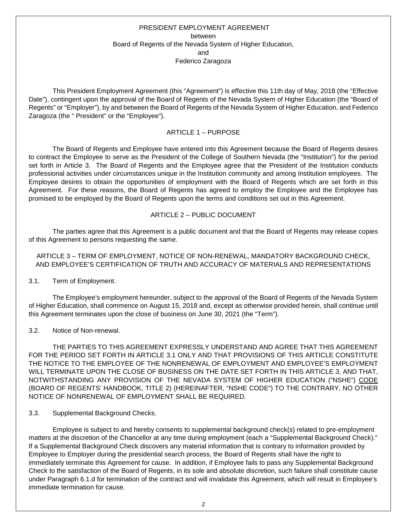# PRESIDENT EMPLOYMENT AGREEMENT between Board of Regents of the Nevada System of Higher Education, and Federico Zaragoza

This President Employment Agreement (this "Agreement") is effective this 11th day of May, 2018 (the "Effective Date"), contingent upon the approval of the Board of Regents of the Nevada System of Higher Education (the "Board of Regents" or "Employer"), by and between the Board of Regents of the Nevada System of Higher Education, and Federico Zaragoza (the " President" or the "Employee").

# ARTICLE 1 – PURPOSE

The Board of Regents and Employee have entered into this Agreement because the Board of Regents desires to contract the Employee to serve as the President of the College of Southern Nevada (the "Institution") for the period set forth in Article 3. The Board of Regents and the Employee agree that the President of the Institution conducts professional activities under circumstances unique in the Institution community and among Institution employees. The Employee desires to obtain the opportunities of employment with the Board of Regents which are set forth in this Agreement. For these reasons, the Board of Regents has agreed to employ the Employee and the Employee has promised to be employed by the Board of Regents upon the terms and conditions set out in this Agreement.

# ARTICLE 2 – PUBLIC DOCUMENT

The parties agree that this Agreement is a public document and that the Board of Regents may release copies of this Agreement to persons requesting the same.

#### ARTICLE 3 – TERM OF EMPLOYMENT, NOTICE OF NON-RENEWAL, MANDATORY BACKGROUND CHECK, AND EMPLOYEE'S CERTIFICATION OF TRUTH AND ACCURACY OF MATERIALS AND REPRESENTATIONS

3.1. Term of Employment.

The Employee's employment hereunder, subject to the approval of the Board of Regents of the Nevada System of Higher Education, shall commence on August 15, 2018 and, except as otherwise provided herein, shall continue until this Agreement terminates upon the close of business on June 30, 2021 (the "Term").

3.2. Notice of Non-renewal.

THE PARTIES TO THIS AGREEMENT EXPRESSLY UNDERSTAND AND AGREE THAT THIS AGREEMENT FOR THE PERIOD SET FORTH IN ARTICLE 3.1 ONLY AND THAT PROVISIONS OF THIS ARTICLE CONSTITUTE THE NOTICE TO THE EMPLOYEE OF THE NONRENEWAL OF EMPLOYMENT AND EMPLOYEE'S EMPLOYMENT WILL TERMINATE UPON THE CLOSE OF BUSINESS ON THE DATE SET FORTH IN THIS ARTICLE 3, AND THAT, NOTWITHSTANDING ANY PROVISION OF THE NEVADA SYSTEM OF HIGHER EDUCATION ("NSHE") CODE (BOARD OF REGENTS' HANDBOOK, TITLE 2) (HEREINAFTER, "NSHE CODE") TO THE CONTRARY, NO OTHER NOTICE OF NONRENEWAL OF EMPLOYMENT SHALL BE REQUIRED.

# 3.3. Supplemental Background Checks.

Employee is subject to and hereby consents to supplemental background check(s) related to pre-employment matters at the discretion of the Chancellor at any time during employment (each a "Supplemental Background Check)." If a Supplemental Background Check discovers any material information that is contrary to information provided by Employee to Employer during the presidential search process, the Board of Regents shall have the right to immediately terminate this Agreement for cause. In addition, if Employee fails to pass any Supplemental Background Check to the satisfaction of the Board of Regents, in its sole and absolute discretion, such failure shall constitute cause under Paragraph 6.1.d for termination of the contract and will invalidate this Agreement, which will result in Employee's immediate termination for cause.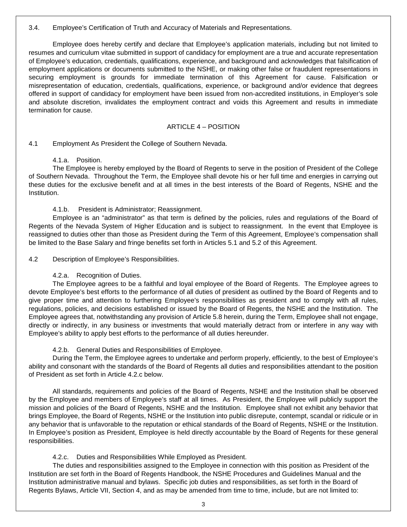# 3.4. Employee's Certification of Truth and Accuracy of Materials and Representations.

Employee does hereby certify and declare that Employee's application materials, including but not limited to resumes and curriculum vitae submitted in support of candidacy for employment are a true and accurate representation of Employee's education, credentials, qualifications, experience, and background and acknowledges that falsification of employment applications or documents submitted to the NSHE, or making other false or fraudulent representations in securing employment is grounds for immediate termination of this Agreement for cause. Falsification or misrepresentation of education, credentials, qualifications, experience, or background and/or evidence that degrees offered in support of candidacy for employment have been issued from non-accredited institutions, in Employer's sole and absolute discretion, invalidates the employment contract and voids this Agreement and results in immediate termination for cause.

# ARTICLE 4 – POSITION

# 4.1 Employment As President the College of Southern Nevada.

#### 4.1.a. Position.

The Employee is hereby employed by the Board of Regents to serve in the position of President of the College of Southern Nevada. Throughout the Term, the Employee shall devote his or her full time and energies in carrying out these duties for the exclusive benefit and at all times in the best interests of the Board of Regents, NSHE and the Institution.

4.1.b. President is Administrator; Reassignment.

Employee is an "administrator" as that term is defined by the policies, rules and regulations of the Board of Regents of the Nevada System of Higher Education and is subject to reassignment. In the event that Employee is reassigned to duties other than those as President during the Term of this Agreement, Employee's compensation shall be limited to the Base Salary and fringe benefits set forth in Articles 5.1 and 5.2 of this Agreement.

4.2 Description of Employee's Responsibilities.

4.2.a. Recognition of Duties.

The Employee agrees to be a faithful and loyal employee of the Board of Regents. The Employee agrees to devote Employee's best efforts to the performance of all duties of president as outlined by the Board of Regents and to give proper time and attention to furthering Employee's responsibilities as president and to comply with all rules, regulations, policies, and decisions established or issued by the Board of Regents, the NSHE and the Institution. The Employee agrees that, notwithstanding any provision of Article 5.8 herein, during the Term, Employee shall not engage, directly or indirectly, in any business or investments that would materially detract from or interfere in any way with Employee's ability to apply best efforts to the performance of all duties hereunder.

# 4.2.b. General Duties and Responsibilities of Employee.

During the Term, the Employee agrees to undertake and perform properly, efficiently, to the best of Employee's ability and consonant with the standards of the Board of Regents all duties and responsibilities attendant to the position of President as set forth in Article 4.2.c below.

All standards, requirements and policies of the Board of Regents, NSHE and the Institution shall be observed by the Employee and members of Employee's staff at all times. As President, the Employee will publicly support the mission and policies of the Board of Regents, NSHE and the Institution. Employee shall not exhibit any behavior that brings Employee, the Board of Regents, NSHE or the Institution into public disrepute, contempt, scandal or ridicule or in any behavior that is unfavorable to the reputation or ethical standards of the Board of Regents, NSHE or the Institution. In Employee's position as President, Employee is held directly accountable by the Board of Regents for these general responsibilities.

# 4.2.c. Duties and Responsibilities While Employed as President.

The duties and responsibilities assigned to the Employee in connection with this position as President of the Institution are set forth in the Board of Regents Handbook, the NSHE Procedures and Guidelines Manual and the Institution administrative manual and bylaws. Specific job duties and responsibilities, as set forth in the Board of Regents Bylaws, Article VII, Section 4, and as may be amended from time to time, include, but are not limited to: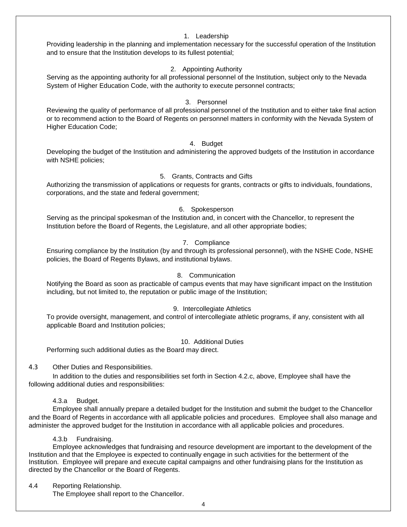#### 1. Leadership

Providing leadership in the planning and implementation necessary for the successful operation of the Institution and to ensure that the Institution develops to its fullest potential;

# 2. Appointing Authority

Serving as the appointing authority for all professional personnel of the Institution, subject only to the Nevada System of Higher Education Code, with the authority to execute personnel contracts;

# 3. Personnel

Reviewing the quality of performance of all professional personnel of the Institution and to either take final action or to recommend action to the Board of Regents on personnel matters in conformity with the Nevada System of Higher Education Code;

#### 4. Budget

Developing the budget of the Institution and administering the approved budgets of the Institution in accordance with NSHE policies;

#### 5. Grants, Contracts and Gifts

Authorizing the transmission of applications or requests for grants, contracts or gifts to individuals, foundations, corporations, and the state and federal government;

#### 6. Spokesperson

Serving as the principal spokesman of the Institution and, in concert with the Chancellor, to represent the Institution before the Board of Regents, the Legislature, and all other appropriate bodies;

#### 7. Compliance

Ensuring compliance by the Institution (by and through its professional personnel), with the NSHE Code, NSHE policies, the Board of Regents Bylaws, and institutional bylaws.

#### 8. Communication

Notifying the Board as soon as practicable of campus events that may have significant impact on the Institution including, but not limited to, the reputation or public image of the Institution;

#### 9. Intercollegiate Athletics

To provide oversight, management, and control of intercollegiate athletic programs, if any, consistent with all applicable Board and Institution policies;

#### 10. Additional Duties

Performing such additional duties as the Board may direct.

#### 4.3 Other Duties and Responsibilities.

In addition to the duties and responsibilities set forth in Section 4.2.c, above, Employee shall have the following additional duties and responsibilities:

#### 4.3.a Budget.

Employee shall annually prepare a detailed budget for the Institution and submit the budget to the Chancellor and the Board of Regents in accordance with all applicable policies and procedures. Employee shall also manage and administer the approved budget for the Institution in accordance with all applicable policies and procedures.

#### 4.3.b Fundraising.

Employee acknowledges that fundraising and resource development are important to the development of the Institution and that the Employee is expected to continually engage in such activities for the betterment of the Institution. Employee will prepare and execute capital campaigns and other fundraising plans for the Institution as directed by the Chancellor or the Board of Regents.

#### 4.4 Reporting Relationship.

The Employee shall report to the Chancellor.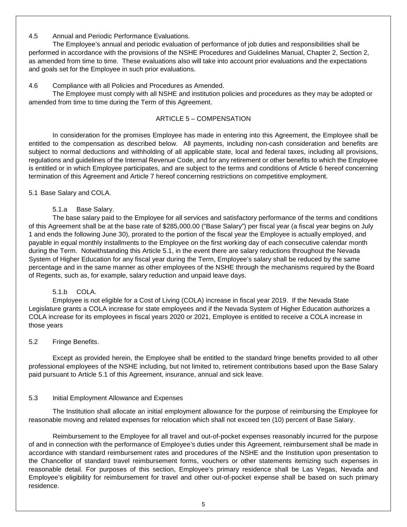# 4.5 Annual and Periodic Performance Evaluations.

The Employee's annual and periodic evaluation of performance of job duties and responsibilities shall be performed in accordance with the provisions of the NSHE Procedures and Guidelines Manual, Chapter 2, Section 2, as amended from time to time. These evaluations also will take into account prior evaluations and the expectations and goals set for the Employee in such prior evaluations.

#### 4.6 Compliance with all Policies and Procedures as Amended.

The Employee must comply with all NSHE and institution policies and procedures as they may be adopted or amended from time to time during the Term of this Agreement.

#### ARTICLE 5 – COMPENSATION

In consideration for the promises Employee has made in entering into this Agreement, the Employee shall be entitled to the compensation as described below. All payments, including non-cash consideration and benefits are subject to normal deductions and withholding of all applicable state, local and federal taxes, including all provisions, regulations and guidelines of the Internal Revenue Code, and for any retirement or other benefits to which the Employee is entitled or in which Employee participates, and are subject to the terms and conditions of Article 6 hereof concerning termination of this Agreement and Article 7 hereof concerning restrictions on competitive employment.

#### 5.1 Base Salary and COLA.

5.1.a Base Salary.

The base salary paid to the Employee for all services and satisfactory performance of the terms and conditions of this Agreement shall be at the base rate of \$285,000.00 ("Base Salary") per fiscal year (a fiscal year begins on July 1 and ends the following June 30), prorated to the portion of the fiscal year the Employee is actually employed, and payable in equal monthly installments to the Employee on the first working day of each consecutive calendar month during the Term. Notwithstanding this Article 5.1, in the event there are salary reductions throughout the Nevada System of Higher Education for any fiscal year during the Term, Employee's salary shall be reduced by the same percentage and in the same manner as other employees of the NSHE through the mechanisms required by the Board of Regents, such as, for example, salary reduction and unpaid leave days.

# 5.1.b COLA.

Employee is not eligible for a Cost of Living (COLA) increase in fiscal year 2019. If the Nevada State Legislature grants a COLA increase for state employees and if the Nevada System of Higher Education authorizes a COLA increase for its employees in fiscal years 2020 or 2021, Employee is entitled to receive a COLA increase in those years

#### 5.2 Fringe Benefits.

Except as provided herein, the Employee shall be entitled to the standard fringe benefits provided to all other professional employees of the NSHE including, but not limited to, retirement contributions based upon the Base Salary paid pursuant to Article 5.1 of this Agreement, insurance, annual and sick leave.

#### 5.3 Initial Employment Allowance and Expenses

The Institution shall allocate an initial employment allowance for the purpose of reimbursing the Employee for reasonable moving and related expenses for relocation which shall not exceed ten (10) percent of Base Salary.

Reimbursement to the Employee for all travel and out-of-pocket expenses reasonably incurred for the purpose of and in connection with the performance of Employee's duties under this Agreement, reimbursement shall be made in accordance with standard reimbursement rates and procedures of the NSHE and the Institution upon presentation to the Chancellor of standard travel reimbursement forms, vouchers or other statements itemizing such expenses in reasonable detail. For purposes of this section, Employee's primary residence shall be Las Vegas, Nevada and Employee's eligibility for reimbursement for travel and other out-of-pocket expense shall be based on such primary residence.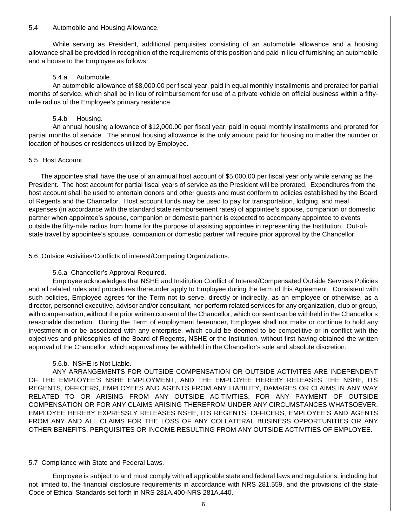#### 5.4 Automobile and Housing Allowance.

While serving as President, additional perquisites consisting of an automobile allowance and a housing allowance shall be provided in recognition of the requirements of this position and paid in lieu of furnishing an automobile and a house to the Employee as follows:

# 5.4.a Automobile.

An automobile allowance of \$8,000.00 per fiscal year, paid in equal monthly installments and prorated for partial months of service, which shall be in lieu of reimbursement for use of a private vehicle on official business within a fiftymile radius of the Employee's primary residence.

# 5.4.b Housing.

An annual housing allowance of \$12,000.00 per fiscal year, paid in equal monthly installments and prorated for partial months of service. The annual housing allowance is the only amount paid for housing no matter the number or location of houses or residences utilized by Employee.

# 5.5 Host Account.

The appointee shall have the use of an annual host account of \$5,000.00 per fiscal year only while serving as the President. The host account for partial fiscal years of service as the President will be prorated. Expenditures from the host account shall be used to entertain donors and other guests and must conform to policies established by the Board of Regents and the Chancellor. Host account funds may be used to pay for transportation, lodging, and meal expenses (in accordance with the standard state reimbursement rates) of appointee's spouse, companion or domestic partner when appointee's spouse, companion or domestic partner is expected to accompany appointee to events outside the fifty-mile radius from home for the purpose of assisting appointee in representing the Institution. Out-ofstate travel by appointee's spouse, companion or domestic partner will require prior approval by the Chancellor.

5.6 Outside Activities/Conflicts of interest/Competing Organizations.

# 5.6.a Chancellor's Approval Required.

Employee acknowledges that NSHE and Institution Conflict of Interest/Compensated Outside Services Policies and all related rules and procedures thereunder apply to Employee during the term of this Agreement. Consistent with such policies, Employee agrees for the Term not to serve, directly or indirectly, as an employee or otherwise, as a director, personnel executive, advisor and/or consultant, nor perform related services for any organization, club or group, with compensation, without the prior written consent of the Chancellor, which consent can be withheld in the Chancellor's reasonable discretion. During the Term of employment hereunder, Employee shall not make or continue to hold any investment in or be associated with any enterprise, which could be deemed to be competitive or in conflict with the objectives and philosophies of the Board of Regents, NSHE or the Institution, without first having obtained the written approval of the Chancellor, which approval may be withheld in the Chancellor's sole and absolute discretion.

# 5.6.b. NSHE is Not Liable.

ANY ARRANGEMENTS FOR OUTSIDE COMPENSATION OR OUTSIDE ACTIVITES ARE INDEPENDENT OF THE EMPLOYEE'S NSHE EMPLOYMENT, AND THE EMPLOYEE HEREBY RELEASES THE NSHE, ITS REGENTS, OFFICERS, EMPLOYEES AND AGENTS FROM ANY LIABILITY, DAMAGES OR CLAIMS IN ANY WAY RELATED TO OR ARISING FROM ANY OUTSIDE ACITIVITIES, FOR ANY PAYMENT OF OUTSIDE COMPENSATION OR FOR ANY CLAIMS ARISING THEREFROM UNDER ANY CIRCUMSTANCES WHATSOEVER. EMPLOYEE HEREBY EXPRESSLY RELEASES NSHE, ITS REGENTS, OFFICERS, EMPLOYEE'S AND AGENTS FROM ANY AND ALL CLAIMS FOR THE LOSS OF ANY COLLATERAL BUSINESS OPPORTUNITIES OR ANY OTHER BENEFITS, PERQUISITES OR INCOME RESULTING FROM ANY OUTSIDE ACTIVITIES OF EMPLOYEE.

# 5.7 Compliance with State and Federal Laws.

Employee is subject to and must comply with all applicable state and federal laws and regulations, including but not limited to, the financial disclosure requirements in accordance with NRS 281.559, and the provisions of the state Code of Ethical Standards set forth in NRS 281A.400-NRS 281A.440.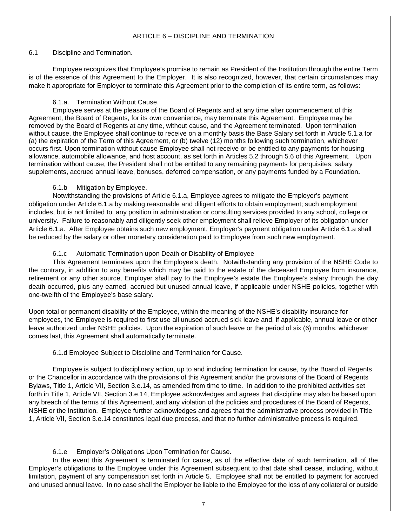# ARTICLE 6 – DISCIPLINE AND TERMINATION

#### 6.1 Discipline and Termination.

Employee recognizes that Employee's promise to remain as President of the Institution through the entire Term is of the essence of this Agreement to the Employer. It is also recognized, however, that certain circumstances may make it appropriate for Employer to terminate this Agreement prior to the completion of its entire term, as follows:

# 6.1.a. Termination Without Cause.

Employee serves at the pleasure of the Board of Regents and at any time after commencement of this Agreement, the Board of Regents, for its own convenience, may terminate this Agreement. Employee may be removed by the Board of Regents at any time, without cause, and the Agreement terminated. Upon termination without cause, the Employee shall continue to receive on a monthly basis the Base Salary set forth in Article 5.1.a for (a) the expiration of the Term of this Agreement, or (b) twelve (12) months following such termination, whichever occurs first. Upon termination without cause Employee shall not receive or be entitled to any payments for housing allowance, automobile allowance, and host account, as set forth in Articles 5.2 through 5.6 of this Agreement. Upon termination without cause, the President shall not be entitled to any remaining payments for perquisites, salary supplements, accrued annual leave, bonuses, deferred compensation, or any payments funded by a Foundation**.** 

# 6.1.b Mitigation by Employee.

Notwithstanding the provisions of Article 6.1.a, Employee agrees to mitigate the Employer's payment obligation under Article 6.1.a by making reasonable and diligent efforts to obtain employment; such employment includes, but is not limited to, any position in administration or consulting services provided to any school, college or university. Failure to reasonably and diligently seek other employment shall relieve Employer of its obligation under Article 6.1.a. After Employee obtains such new employment, Employer's payment obligation under Article 6.1.a shall be reduced by the salary or other monetary consideration paid to Employee from such new employment.

# 6.1.c Automatic Termination upon Death or Disability of Employee

This Agreement terminates upon the Employee's death. Notwithstanding any provision of the NSHE Code to the contrary, in addition to any benefits which may be paid to the estate of the deceased Employee from insurance, retirement or any other source, Employer shall pay to the Employee's estate the Employee's salary through the day death occurred, plus any earned, accrued but unused annual leave, if applicable under NSHE policies, together with one-twelfth of the Employee's base salary.

Upon total or permanent disability of the Employee, within the meaning of the NSHE's disability insurance for employees, the Employee is required to first use all unused accrued sick leave and, if applicable, annual leave or other leave authorized under NSHE policies. Upon the expiration of such leave or the period of six (6) months, whichever comes last, this Agreement shall automatically terminate.

# 6.1.d Employee Subject to Discipline and Termination for Cause.

Employee is subject to disciplinary action, up to and including termination for cause, by the Board of Regents or the Chancellor in accordance with the provisions of this Agreement and/or the provisions of the Board of Regents Bylaws, Title 1, Article VII, Section 3.e.14, as amended from time to time. In addition to the prohibited activities set forth in Title 1, Article VII, Section 3.e.14, Employee acknowledges and agrees that discipline may also be based upon any breach of the terms of this Agreement, and any violation of the policies and procedures of the Board of Regents, NSHE or the Institution. Employee further acknowledges and agrees that the administrative process provided in Title 1, Article VII, Section 3.e.14 constitutes legal due process, and that no further administrative process is required.

# 6.1.e Employer's Obligations Upon Termination for Cause.

In the event this Agreement is terminated for cause, as of the effective date of such termination, all of the Employer's obligations to the Employee under this Agreement subsequent to that date shall cease, including, without limitation, payment of any compensation set forth in Article 5. Employee shall not be entitled to payment for accrued and unused annual leave. In no case shall the Employer be liable to the Employee for the loss of any collateral or outside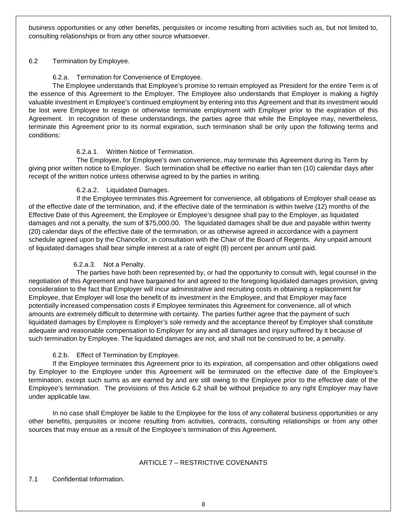business opportunities or any other benefits, perquisites or income resulting from activities such as, but not limited to, consulting relationships or from any other source whatsoever.

# 6.2 Termination by Employee.

# 6.2.a. Termination for Convenience of Employee.

The Employee understands that Employee's promise to remain employed as President for the entire Term is of the essence of this Agreement to the Employer. The Employee also understands that Employer is making a highly valuable investment in Employee's continued employment by entering into this Agreement and that its investment would be lost were Employee to resign or otherwise terminate employment with Employer prior to the expiration of this Agreement. In recognition of these understandings, the parties agree that while the Employee may, nevertheless, terminate this Agreement prior to its normal expiration, such termination shall be only upon the following terms and conditions:

# 6.2.a.1. Written Notice of Termination.

The Employee, for Employee's own convenience, may terminate this Agreement during its Term by giving prior written notice to Employer. Such termination shall be effective no earlier than ten (10) calendar days after receipt of the written notice unless otherwise agreed to by the parties in writing.

# 6.2.a.2. Liquidated Damages.

If the Employee terminates this Agreement for convenience, all obligations of Employer shall cease as of the effective date of the termination, and, if the effective date of the termination is within twelve (12) months of the Effective Date of this Agreement, the Employee or Employee's designee shall pay to the Employer, as liquidated damages and not a penalty, the sum of \$75,000.00. The liquidated damages shall be due and payable within twenty (20) calendar days of the effective date of the termination, or as otherwise agreed in accordance with a payment schedule agreed upon by the Chancellor, in consultation with the Chair of the Board of Regents. Any unpaid amount of liquidated damages shall bear simple interest at a rate of eight (8) percent per annum until paid.

# 6.2.a.3. Not a Penalty.

The parties have both been represented by, or had the opportunity to consult with, legal counsel in the negotiation of this Agreement and have bargained for and agreed to the foregoing liquidated damages provision, giving consideration to the fact that Employer will incur administrative and recruiting costs in obtaining a replacement for Employee, that Employer will lose the benefit of its investment in the Employee, and that Employer may face potentially increased compensation costs if Employee terminates this Agreement for convenience, all of which amounts are extremely difficult to determine with certainty. The parties further agree that the payment of such liquidated damages by Employee is Employer's sole remedy and the acceptance thereof by Employer shall constitute adequate and reasonable compensation to Employer for any and all damages and injury suffered by it because of such termination by Employee. The liquidated damages are not, and shall not be construed to be, a penalty.

# 6.2.b. Effect of Termination by Employee.

If the Employee terminates this Agreement prior to its expiration, all compensation and other obligations owed by Employer to the Employee under this Agreement will be terminated on the effective date of the Employee's termination, except such sums as are earned by and are still owing to the Employee prior to the effective date of the Employee's termination. The provisions of this Article 6.2 shall be without prejudice to any right Employer may have under applicable law.

In no case shall Employer be liable to the Employee for the loss of any collateral business opportunities or any other benefits, perquisites or income resulting from activities, contracts, consulting relationships or from any other sources that may ensue as a result of the Employee's termination of this Agreement.

# ARTICLE 7 – RESTRICTIVE COVENANTS

7.1 Confidential Information.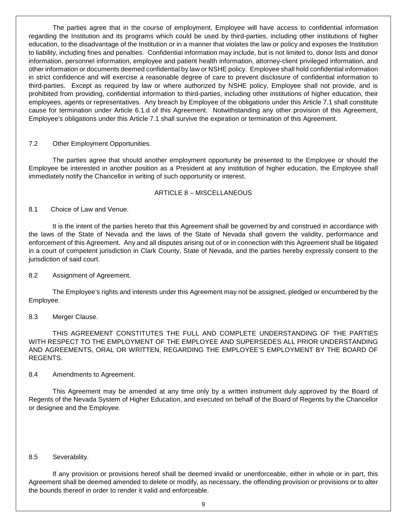The parties agree that in the course of employment, Employee will have access to confidential information regarding the Institution and its programs which could be used by third-parties, including other institutions of higher education, to the disadvantage of the Institution or in a manner that violates the law or policy and exposes the Institution to liability, including fines and penalties. Confidential information may include, but is not limited to, donor lists and donor information, personnel information, employee and patient health information, attorney-client privileged information, and other information or documents deemed confidential by law or NSHE policy. Employee shall hold confidential information in strict confidence and will exercise a reasonable degree of care to prevent disclosure of confidential information to third-parties. Except as required by law or where authorized by NSHE policy, Employee shall not provide, and is prohibited from providing, confidential information to third-parties, including other institutions of higher education, their employees, agents or representatives. Any breach by Employee of the obligations under this Article 7.1 shall constitute cause for termination under Article 6.1.d of this Agreement. Notwithstanding any other provision of this Agreement, Employee's obligations under this Article 7.1 shall survive the expiration or termination of this Agreement.

#### 7.2 Other Employment Opportunities.

The parties agree that should another employment opportunity be presented to the Employee or should the Employee be interested in another position as a President at any institution of higher education, the Employee shall immediately notify the Chancellor in writing of such opportunity or interest.

#### ARTICLE 8 – MISCELLANEOUS

#### 8.1 Choice of Law and Venue.

It is the intent of the parties hereto that this Agreement shall be governed by and construed in accordance with the laws of the State of Nevada and the laws of the State of Nevada shall govern the validity, performance and enforcement of this Agreement. Any and all disputes arising out of or in connection with this Agreement shall be litigated in a court of competent jurisdiction in Clark County, State of Nevada, and the parties hereby expressly consent to the jurisdiction of said court.

#### 8.2 Assignment of Agreement.

The Employee's rights and interests under this Agreement may not be assigned, pledged or encumbered by the Employee.

#### 8.3 Merger Clause.

THIS AGREEMENT CONSTITUTES THE FULL AND COMPLETE UNDERSTANDING OF THE PARTIES WITH RESPECT TO THE EMPLOYMENT OF THE EMPLOYEE AND SUPERSEDES ALL PRIOR UNDERSTANDING AND AGREEMENTS, ORAL OR WRITTEN, REGARDING THE EMPLOYEE'S EMPLOYMENT BY THE BOARD OF REGENTS.

#### 8.4 Amendments to Agreement.

This Agreement may be amended at any time only by a written instrument duly approved by the Board of Regents of the Nevada System of Higher Education, and executed on behalf of the Board of Regents by the Chancellor or designee and the Employee.

#### 8.5 Severability.

If any provision or provisions hereof shall be deemed invalid or unenforceable, either in whole or in part, this Agreement shall be deemed amended to delete or modify, as necessary, the offending provision or provisions or to alter the bounds thereof in order to render it valid and enforceable.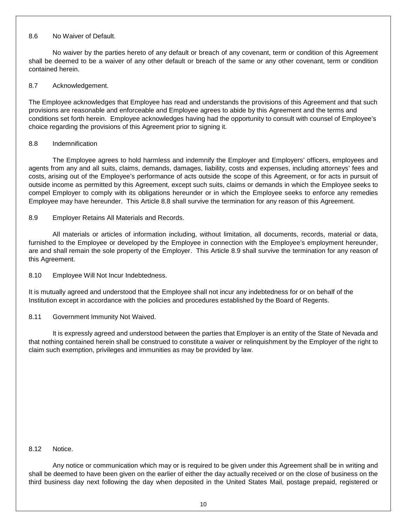# 8.6 No Waiver of Default.

No waiver by the parties hereto of any default or breach of any covenant, term or condition of this Agreement shall be deemed to be a waiver of any other default or breach of the same or any other covenant, term or condition contained herein.

# 8.7 Acknowledgement.

The Employee acknowledges that Employee has read and understands the provisions of this Agreement and that such provisions are reasonable and enforceable and Employee agrees to abide by this Agreement and the terms and conditions set forth herein. Employee acknowledges having had the opportunity to consult with counsel of Employee's choice regarding the provisions of this Agreement prior to signing it.

# 8.8 Indemnification

The Employee agrees to hold harmless and indemnify the Employer and Employers' officers, employees and agents from any and all suits, claims, demands, damages, liability, costs and expenses, including attorneys' fees and costs, arising out of the Employee's performance of acts outside the scope of this Agreement, or for acts in pursuit of outside income as permitted by this Agreement, except such suits, claims or demands in which the Employee seeks to compel Employer to comply with its obligations hereunder or in which the Employee seeks to enforce any remedies Employee may have hereunder. This Article 8.8 shall survive the termination for any reason of this Agreement.

# 8.9 Employer Retains All Materials and Records.

All materials or articles of information including, without limitation, all documents, records, material or data, furnished to the Employee or developed by the Employee in connection with the Employee's employment hereunder, are and shall remain the sole property of the Employer. This Article 8.9 shall survive the termination for any reason of this Agreement.

# 8.10 Employee Will Not Incur Indebtedness.

It is mutually agreed and understood that the Employee shall not incur any indebtedness for or on behalf of the Institution except in accordance with the policies and procedures established by the Board of Regents.

# 8.11 Government Immunity Not Waived.

It is expressly agreed and understood between the parties that Employer is an entity of the State of Nevada and that nothing contained herein shall be construed to constitute a waiver or relinquishment by the Employer of the right to claim such exemption, privileges and immunities as may be provided by law.

#### 8.12 Notice.

Any notice or communication which may or is required to be given under this Agreement shall be in writing and shall be deemed to have been given on the earlier of either the day actually received or on the close of business on the third business day next following the day when deposited in the United States Mail, postage prepaid, registered or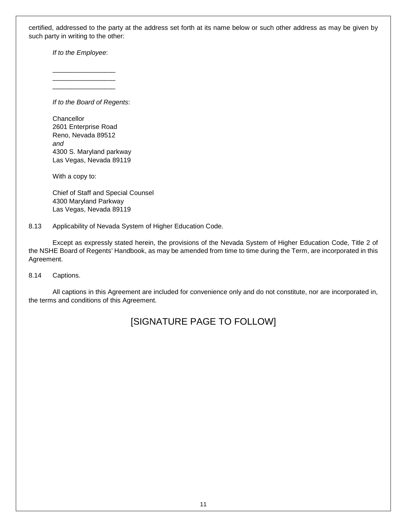certified, addressed to the party at the address set forth at its name below or such other address as may be given by such party in writing to the other:

*If to the Employee*:

\_\_\_\_\_\_\_\_\_\_\_\_\_\_\_\_\_ \_\_\_\_\_\_\_\_\_\_\_\_\_\_\_\_\_

\_\_\_\_\_\_\_\_\_\_\_\_\_\_\_\_\_

*If to the Board of Regents*:

**Chancellor** 2601 Enterprise Road Reno, Nevada 89512 *and* 4300 S. Maryland parkway Las Vegas, Nevada 89119

With a copy to:

Chief of Staff and Special Counsel 4300 Maryland Parkway Las Vegas, Nevada 89119

8.13 Applicability of Nevada System of Higher Education Code.

Except as expressly stated herein, the provisions of the Nevada System of Higher Education Code, Title 2 of the NSHE Board of Regents' Handbook, as may be amended from time to time during the Term, are incorporated in this Agreement.

8.14 Captions.

All captions in this Agreement are included for convenience only and do not constitute, nor are incorporated in, the terms and conditions of this Agreement.

# [SIGNATURE PAGE TO FOLLOW]